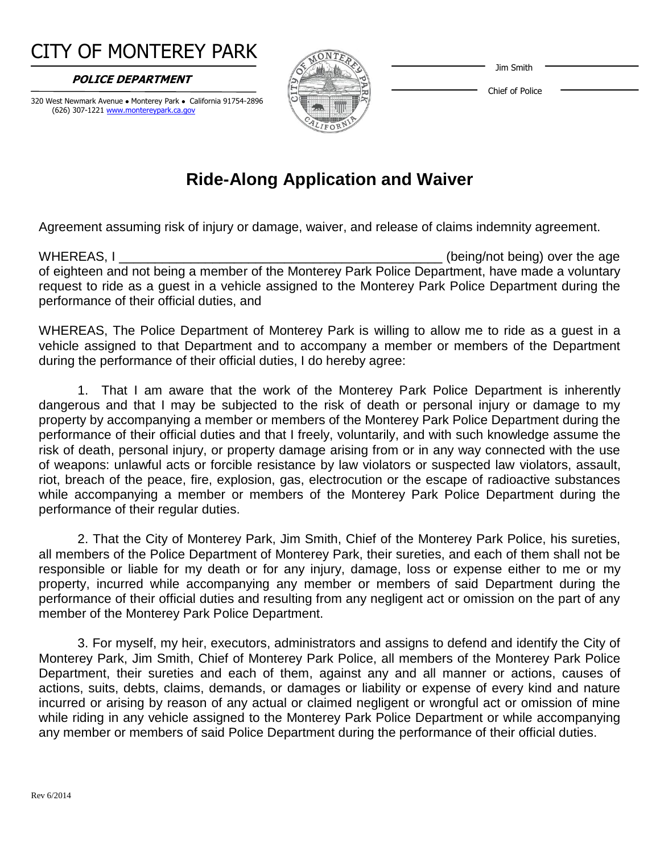#### Jim Smith

# CITY OF MONTEREY PARK

 **POLICE DEPARTMENT** 

320 West Newmark Avenue . Monterey Park . California 91754-2896 (626) 307-1221 www.montereypark.ca.gov



Chief of Police

## **Ride-Along Application and Waiver**

Agreement assuming risk of injury or damage, waiver, and release of claims indemnity agreement.

WHEREAS, I \_\_\_\_\_\_\_\_\_\_\_\_\_\_\_\_\_\_\_\_\_\_\_\_\_\_\_\_\_\_\_\_\_\_\_\_\_\_\_\_\_\_\_\_\_ (being/not being) over the age of eighteen and not being a member of the Monterey Park Police Department, have made a voluntary request to ride as a guest in a vehicle assigned to the Monterey Park Police Department during the performance of their official duties, and

WHEREAS, The Police Department of Monterey Park is willing to allow me to ride as a guest in a vehicle assigned to that Department and to accompany a member or members of the Department during the performance of their official duties, I do hereby agree:

1. That I am aware that the work of the Monterey Park Police Department is inherently dangerous and that I may be subjected to the risk of death or personal injury or damage to my property by accompanying a member or members of the Monterey Park Police Department during the performance of their official duties and that I freely, voluntarily, and with such knowledge assume the risk of death, personal injury, or property damage arising from or in any way connected with the use of weapons: unlawful acts or forcible resistance by law violators or suspected law violators, assault, riot, breach of the peace, fire, explosion, gas, electrocution or the escape of radioactive substances while accompanying a member or members of the Monterey Park Police Department during the performance of their regular duties.

2. That the City of Monterey Park, Jim Smith, Chief of the Monterey Park Police, his sureties, all members of the Police Department of Monterey Park, their sureties, and each of them shall not be responsible or liable for my death or for any injury, damage, loss or expense either to me or my property, incurred while accompanying any member or members of said Department during the performance of their official duties and resulting from any negligent act or omission on the part of any member of the Monterey Park Police Department.

3. For myself, my heir, executors, administrators and assigns to defend and identify the City of Monterey Park, Jim Smith, Chief of Monterey Park Police, all members of the Monterey Park Police Department, their sureties and each of them, against any and all manner or actions, causes of actions, suits, debts, claims, demands, or damages or liability or expense of every kind and nature incurred or arising by reason of any actual or claimed negligent or wrongful act or omission of mine while riding in any vehicle assigned to the Monterey Park Police Department or while accompanying any member or members of said Police Department during the performance of their official duties.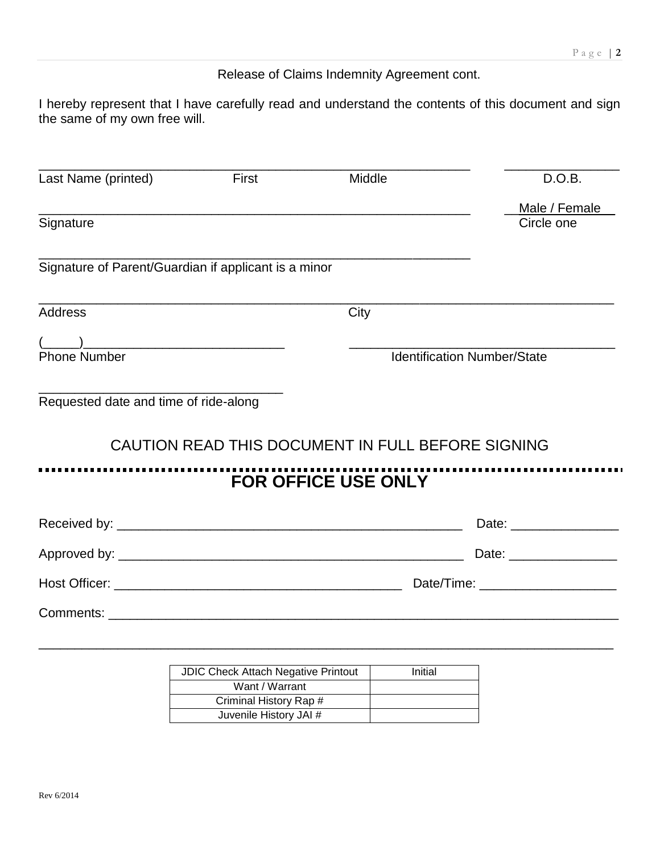#### Release of Claims Indemnity Agreement cont.

I hereby represent that I have carefully read and understand the contents of this document and sign the same of my own free will.

| Last Name (printed)                                                                                                                                                                                                                                                                                                                                                        | First | Middle                                            | D.O.B.                             |
|----------------------------------------------------------------------------------------------------------------------------------------------------------------------------------------------------------------------------------------------------------------------------------------------------------------------------------------------------------------------------|-------|---------------------------------------------------|------------------------------------|
|                                                                                                                                                                                                                                                                                                                                                                            |       |                                                   | Male / Female                      |
| Signature                                                                                                                                                                                                                                                                                                                                                                  |       |                                                   | Circle one                         |
| Signature of Parent/Guardian if applicant is a minor                                                                                                                                                                                                                                                                                                                       |       |                                                   |                                    |
| <b>Address</b>                                                                                                                                                                                                                                                                                                                                                             |       | City                                              |                                    |
| $\begin{picture}(20,10) \put(0,0){\line(1,0){10}} \put(15,0){\line(1,0){10}} \put(15,0){\line(1,0){10}} \put(15,0){\line(1,0){10}} \put(15,0){\line(1,0){10}} \put(15,0){\line(1,0){10}} \put(15,0){\line(1,0){10}} \put(15,0){\line(1,0){10}} \put(15,0){\line(1,0){10}} \put(15,0){\line(1,0){10}} \put(15,0){\line(1,0){10}} \put(15,0){\line(1$<br><b>Phone Number</b> |       |                                                   | <b>Identification Number/State</b> |
|                                                                                                                                                                                                                                                                                                                                                                            |       |                                                   |                                    |
| Requested date and time of ride-along                                                                                                                                                                                                                                                                                                                                      |       | CAUTION READ THIS DOCUMENT IN FULL BEFORE SIGNING |                                    |
|                                                                                                                                                                                                                                                                                                                                                                            |       | <b>FOR OFFICE USE ONLY</b>                        |                                    |
|                                                                                                                                                                                                                                                                                                                                                                            |       |                                                   | Date: __________________           |
|                                                                                                                                                                                                                                                                                                                                                                            |       |                                                   | Date: ____________________         |
|                                                                                                                                                                                                                                                                                                                                                                            |       |                                                   |                                    |
|                                                                                                                                                                                                                                                                                                                                                                            |       |                                                   |                                    |
|                                                                                                                                                                                                                                                                                                                                                                            |       |                                                   |                                    |
|                                                                                                                                                                                                                                                                                                                                                                            |       | $\sqrt{1000 + 14u + 14u + 20u + 1}$               |                                    |

| <b>JDIC Check Attach Negative Printout</b> | Initial |
|--------------------------------------------|---------|
| Want / Warrant                             |         |
| Criminal History Rap #                     |         |
| Juvenile History JAI #                     |         |